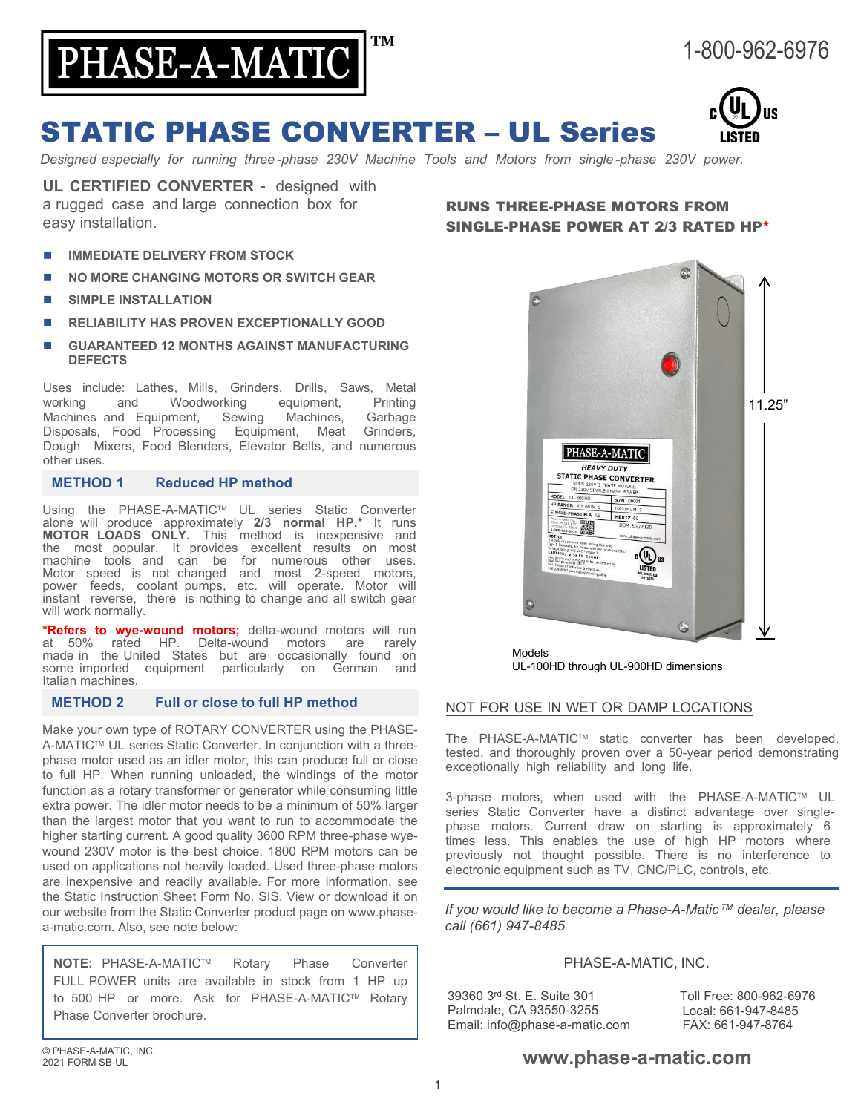

# STATIC PHASE CONVERTER – UL Series

*Designed especially for running three -phase 230V Machine Tools and Motors from single -phase 230V power.*

**UL CERTIFIED CONVERTER -** designed with a rugged case and large connection box for easy installation.

- **IMMEDIATE DELIVERY FROM STOCK**
- **NO MORE CHANGING MOTORS OR SWITCH GEAR**
- **SIMPLE INSTALLATION**
- **RELIABILITY HAS PROVEN EXCEPTIONALLY GOOD**
- **GUARANTEED 12 MONTHS AGAINST MANUFACTURING DEFECTS**

Uses include: Lathes, Mills, Grinders, Drills, Saws, Metal Woodworking equipment,<br>
ment. Sewing Machines, Machines and Equipment, Sewing Machines, Garbage Disposals, Food Processing Equipment, Meat Grinders, Dough Mixers, Food Blenders, Elevator Belts, and numerous other uses.

#### **METHOD 1 Reduced HP method**

Using the PHASE-A-MATIC™ UL series Static Converter alone will produce approximately **2/3 normal HP.\*** It runs **MOTOR LOADS ONLY.** This method is inexpensive and the most popular. It provides excellent results on most machine tools and can be for numerous other uses. Motor speed is not changed and most 2-speed motors, power feeds, coolant pumps, etc. will operate. Motor will instant reverse, there is nothing to change and all switch gear will work normally.

**\*Refers to wye-wound motors;** delta-wound motors will run Delta-wound motors are rarely made in the United States but are occasionally found on<br>some imported equipment particularly on German and some imported equipment particularly Italian machines.

### **METHOD 2 Full or close to full HP method**

Make your own type of ROTARY CONVERTER using the PHASE-A-MATIC<sup>™</sup> UL series Static Converter. In conjunction with a threephase motor used as an idler motor, this can produce full or close to full HP. When running unloaded, the windings of the motor function as a rotary transformer or generator while consuming little extra power. The idler motor needs to be a minimum of 50% larger than the largest motor that you want to run to accommodate the higher starting current. A good quality 3600 RPM three-phase wyewound 230V motor is the best choice. 1800 RPM motors can be used on applications not heavily loaded. Used three-phase motors are inexpensive and readily available. For more information, see the Static Instruction Sheet Form No. SIS. View or download it on our website from the Static Converter product page on www.phasea-matic.com. Also, see note below:

**NOTE:** PHASE-A-MATIC™ Rotary Phase Converter FULL POWER units are available in stock from 1 HP up to 500 HP or more. Ask for PHASE-A-MATIC™ Rotary Phase Converter brochure.

# RUNS THREE-PHASE MOTORS FROM SINGLE-PHASE POWER AT 2/3 RATED HP\*



Models UL-100HD through UL-900HD dimensions

### NOT FOR USE IN WET OR DAMP LOCATIONS

The PHASE-A-MATIC™ static converter has been developed, tested, and thoroughly proven over a 50-year period demonstrating exceptionally high reliability and long life.

3-phase motors, when used with the PHASE-A-MATIC™ UL series Static Converter have a distinct advantage over singlephase motors. Current draw on starting is approximately 6 times less. This enables the use of high HP motors where previously not thought possible. There is no interference to electronic equipment such as TV, CNC/PLC, controls, etc.

*If you would like to become a Phase-A-Matic dealer, please call (661) 947-8485*

#### PHASE-A-MATIC, INC.

39360 3rd St. E. Suite 301 Palmdale, CA 93550-3255 Email: info@phase-a-matic.com Toll Free: 800-962-6976 Local: 661-947-8485 FAX: 661-947-8764

# **[www.phase-a-matic.com](http://www.phase-a-matic.com/)**